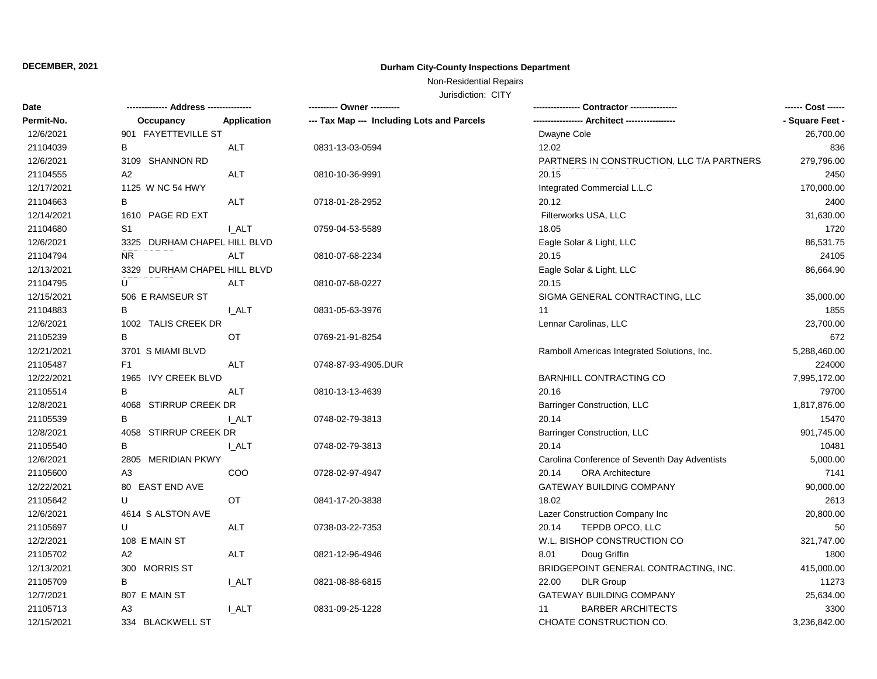#### **DECEMBER, 2021**

### **Durham City-County Inspections Department**

# Non-Residential Repairs

Jurisdiction: CITY

| Date       |                              |              | ---------- Owner ----------                | -- Contractor ----------------                | ------ Cost ------ |
|------------|------------------------------|--------------|--------------------------------------------|-----------------------------------------------|--------------------|
| Permit-No. | Occupancy                    | Application  | --- Tax Map --- Including Lots and Parcels |                                               | - Square Feet -    |
| 12/6/2021  | 901 FAYETTEVILLE ST          |              |                                            | Dwayne Cole                                   | 26,700.00          |
| 21104039   | B                            | ALT          | 0831-13-03-0594                            | 12.02                                         | 836                |
| 12/6/2021  | 3109 SHANNON RD              |              |                                            | PARTNERS IN CONSTRUCTION, LLC T/A PARTNERS    | 279,796.00         |
| 21104555   | A <sub>2</sub>               | <b>ALT</b>   | 0810-10-36-9991                            | 20.15                                         | 2450               |
| 12/17/2021 | 1125 W NC 54 HWY             |              |                                            | Integrated Commercial L.L.C                   | 170,000.00         |
| 21104663   | В                            | <b>ALT</b>   | 0718-01-28-2952                            | 20.12                                         | 2400               |
| 12/14/2021 | 1610 PAGE RD EXT             |              |                                            | Filterworks USA, LLC                          | 31,630.00          |
| 21104680   | S1                           | I ALT        | 0759-04-53-5589                            | 18.05                                         | 1720               |
| 12/6/2021  | 3325 DURHAM CHAPEL HILL BLVD |              |                                            | Eagle Solar & Light, LLC                      | 86,531.75          |
| 21104794   | <b>NR</b>                    | <b>ALT</b>   | 0810-07-68-2234                            | 20.15                                         | 24105              |
| 12/13/2021 | 3329 DURHAM CHAPEL HILL BLVD |              |                                            | Eagle Solar & Light, LLC                      | 86,664.90          |
| 21104795   | U                            | <b>ALT</b>   | 0810-07-68-0227                            | 20.15                                         |                    |
| 12/15/2021 | 506 E RAMSEUR ST             |              |                                            | SIGMA GENERAL CONTRACTING, LLC                | 35,000.00          |
| 21104883   | B                            | <b>LALT</b>  | 0831-05-63-3976                            | 11                                            | 1855               |
| 12/6/2021  | 1002 TALIS CREEK DR          |              |                                            | Lennar Carolinas, LLC                         | 23,700.00          |
| 21105239   | В                            | OT           | 0769-21-91-8254                            |                                               | 672                |
| 12/21/2021 | 3701 S MIAMI BLVD            |              |                                            | Ramboll Americas Integrated Solutions, Inc.   | 5,288,460.00       |
| 21105487   | F <sub>1</sub>               | ALT          | 0748-87-93-4905.DUR                        |                                               | 224000             |
| 12/22/2021 | 1965 IVY CREEK BLVD          |              |                                            | BARNHILL CONTRACTING CO                       | 7,995,172.00       |
| 21105514   | В                            | ALT          | 0810-13-13-4639                            | 20.16                                         | 79700              |
| 12/8/2021  | 4068 STIRRUP CREEK DR        |              |                                            | Barringer Construction, LLC                   | 1,817,876.00       |
| 21105539   | В                            | <b>L_ALT</b> | 0748-02-79-3813                            | 20.14                                         | 15470              |
| 12/8/2021  | 4058 STIRRUP CREEK DR        |              |                                            | Barringer Construction, LLC                   | 901,745.00         |
| 21105540   | В                            | <b>LALT</b>  | 0748-02-79-3813                            | 20.14                                         | 10481              |
| 12/6/2021  | 2805 MERIDIAN PKWY           |              |                                            | Carolina Conference of Seventh Day Adventists | 5,000.00           |
| 21105600   | A <sub>3</sub>               | COO          | 0728-02-97-4947                            | 20.14<br><b>ORA Architecture</b>              | 7141               |
| 12/22/2021 | 80 EAST END AVE              |              |                                            | GATEWAY BUILDING COMPANY                      | 90,000.00          |
| 21105642   | U                            | OT           | 0841-17-20-3838                            | 18.02                                         | 2613               |
| 12/6/2021  | 4614 S ALSTON AVE            |              |                                            | Lazer Construction Company Inc                | 20,800.00          |
| 21105697   | U                            | ALT          | 0738-03-22-7353                            | TEPDB OPCO, LLC<br>20.14                      | 50                 |
| 12/2/2021  | 108 E MAIN ST                |              |                                            | W.L. BISHOP CONSTRUCTION CO                   | 321,747.00         |
| 21105702   | A2                           | <b>ALT</b>   | 0821-12-96-4946                            | 8.01<br>Doug Griffin                          | 1800               |
| 12/13/2021 | 300 MORRIS ST                |              |                                            | BRIDGEPOINT GENERAL CONTRACTING, INC.         | 415,000.00         |
| 21105709   | B                            | <b>I_ALT</b> | 0821-08-88-6815                            | 22.00<br><b>DLR Group</b>                     | 11273              |
| 12/7/2021  | 807 E MAIN ST                |              |                                            | GATEWAY BUILDING COMPANY                      | 25,634.00          |
| 21105713   | A <sub>3</sub>               | <b>I_ALT</b> | 0831-09-25-1228                            | <b>BARBER ARCHITECTS</b><br>11                | 3300               |
| 12/15/2021 | 334 BLACKWELL ST             |              |                                            | CHOATE CONSTRUCTION CO.                       | 3,236,842.00       |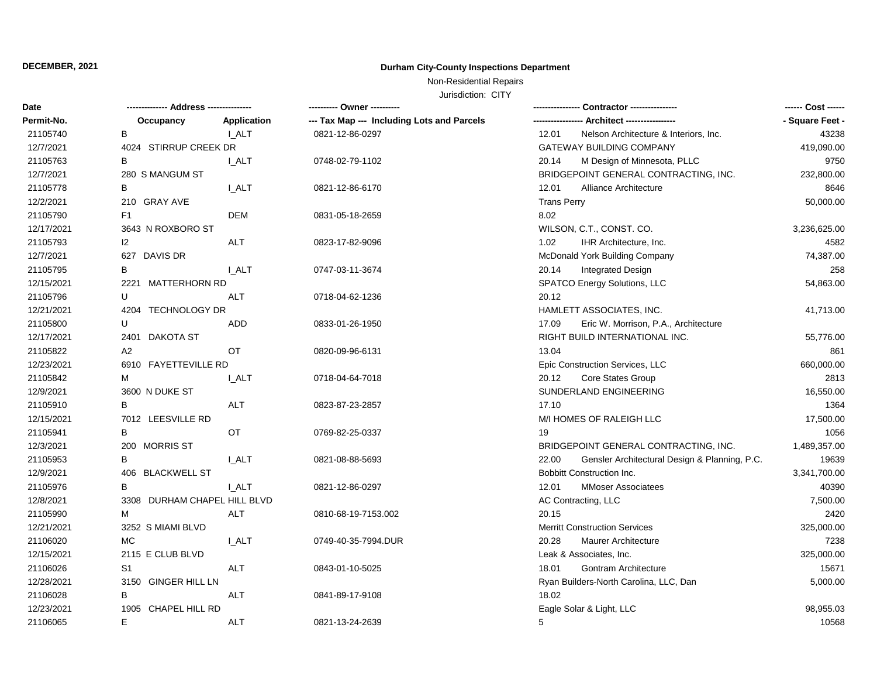#### **DECEMBER, 2021**

### **Durham City-County Inspections Department**

Non-Residential Repairs

Jurisdiction: CITY

| Date       |                              |              | ---------- Owner ----------                | Contractor ---------------                             | ------ Cost ------ |
|------------|------------------------------|--------------|--------------------------------------------|--------------------------------------------------------|--------------------|
| Permit-No. | Occupancy                    | Application  | --- Tax Map --- Including Lots and Parcels | Architect -----------------                            | - Square Feet -    |
| 21105740   | В                            | <b>LALT</b>  | 0821-12-86-0297                            | 12.01<br>Nelson Architecture & Interiors, Inc.         | 43238              |
| 12/7/2021  | 4024 STIRRUP CREEK DR        |              |                                            | <b>GATEWAY BUILDING COMPANY</b>                        | 419,090.00         |
| 21105763   | В                            | I ALT        | 0748-02-79-1102                            | 20.14<br>M Design of Minnesota, PLLC                   | 9750               |
| 12/7/2021  | 280 S MANGUM ST              |              |                                            | BRIDGEPOINT GENERAL CONTRACTING, INC.                  | 232,800.00         |
| 21105778   | В                            | I ALT        | 0821-12-86-6170                            | Alliance Architecture<br>12.01                         | 8646               |
| 12/2/2021  | 210 GRAY AVE                 |              |                                            | <b>Trans Perry</b>                                     | 50,000.00          |
| 21105790   | F <sub>1</sub>               | <b>DEM</b>   | 0831-05-18-2659                            | 8.02                                                   |                    |
| 12/17/2021 | 3643 N ROXBORO ST            |              |                                            | WILSON, C.T., CONST. CO.                               | 3,236,625.00       |
| 21105793   | 2                            | <b>ALT</b>   | 0823-17-82-9096                            | 1.02<br>IHR Architecture, Inc.                         | 4582               |
| 12/7/2021  | 627 DAVIS DR                 |              |                                            | McDonald York Building Company                         | 74,387.00          |
| 21105795   | В                            | <b>I_ALT</b> | 0747-03-11-3674                            | 20.14<br>Integrated Design                             | 258                |
| 12/15/2021 | 2221 MATTERHORN RD           |              |                                            | SPATCO Energy Solutions, LLC                           | 54,863.00          |
| 21105796   | U                            | <b>ALT</b>   | 0718-04-62-1236                            | 20.12                                                  |                    |
| 12/21/2021 | 4204 TECHNOLOGY DR           |              |                                            | HAMLETT ASSOCIATES, INC.                               | 41,713.00          |
| 21105800   | U                            | ADD          | 0833-01-26-1950                            | 17.09<br>Eric W. Morrison, P.A., Architecture          |                    |
| 12/17/2021 | 2401 DAKOTA ST               |              |                                            | RIGHT BUILD INTERNATIONAL INC.                         | 55,776.00          |
| 21105822   | A2                           | <b>OT</b>    | 0820-09-96-6131                            | 13.04                                                  | 861                |
| 12/23/2021 | 6910 FAYETTEVILLE RD         |              |                                            | Epic Construction Services, LLC                        | 660,000.00         |
| 21105842   | М                            | I ALT        | 0718-04-64-7018                            | Core States Group<br>20.12                             | 2813               |
| 12/9/2021  | 3600 N DUKE ST               |              |                                            | SUNDERLAND ENGINEERING                                 | 16,550.00          |
| 21105910   | В                            | <b>ALT</b>   | 0823-87-23-2857                            | 17.10                                                  | 1364               |
| 12/15/2021 | 7012 LEESVILLE RD            |              |                                            | M/I HOMES OF RALEIGH LLC                               | 17,500.00          |
| 21105941   | В                            | OT           | 0769-82-25-0337                            | 19                                                     | 1056               |
| 12/3/2021  | 200 MORRIS ST                |              |                                            | BRIDGEPOINT GENERAL CONTRACTING, INC.                  | 1,489,357.00       |
| 21105953   | B                            | I ALT        | 0821-08-88-5693                            | 22.00<br>Gensler Architectural Design & Planning, P.C. | 19639              |
| 12/9/2021  | 406 BLACKWELL ST             |              |                                            | Bobbitt Construction Inc.                              | 3,341,700.00       |
| 21105976   | В                            | <b>I_ALT</b> | 0821-12-86-0297                            | 12.01<br><b>MMoser Associatees</b>                     | 40390              |
| 12/8/2021  | 3308 DURHAM CHAPEL HILL BLVD |              |                                            | AC Contracting, LLC                                    | 7,500.00           |
| 21105990   | M                            | <b>ALT</b>   | 0810-68-19-7153.002                        | 20.15                                                  | 2420               |
| 12/21/2021 | 3252 S MIAMI BLVD            |              |                                            | <b>Merritt Construction Services</b>                   | 325,000.00         |
| 21106020   | МC                           | I ALT        | 0749-40-35-7994.DUR                        | 20.28<br><b>Maurer Architecture</b>                    | 7238               |
| 12/15/2021 | 2115 E CLUB BLVD             |              |                                            | Leak & Associates, Inc.                                | 325,000.00         |
| 21106026   | S1                           | <b>ALT</b>   | 0843-01-10-5025                            | Gontram Architecture<br>18.01                          | 15671              |
| 12/28/2021 | 3150 GINGER HILL LN          |              |                                            | Ryan Builders-North Carolina, LLC, Dan                 | 5,000.00           |
| 21106028   | В                            | <b>ALT</b>   | 0841-89-17-9108                            | 18.02                                                  |                    |
| 12/23/2021 | 1905 CHAPEL HILL RD          |              |                                            | Eagle Solar & Light, LLC                               | 98,955.03          |
| 21106065   | E                            | <b>ALT</b>   | 0821-13-24-2639                            | 5                                                      | 10568              |